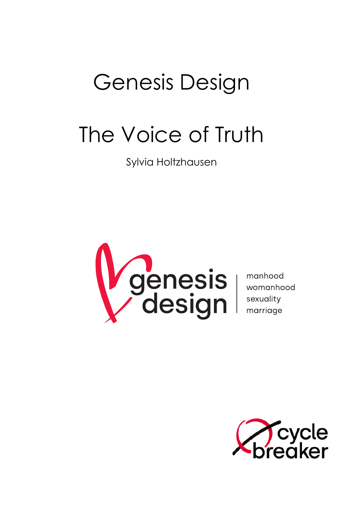# Genesis Design

# The Voice of Truth

Sylvia Holtzhausen



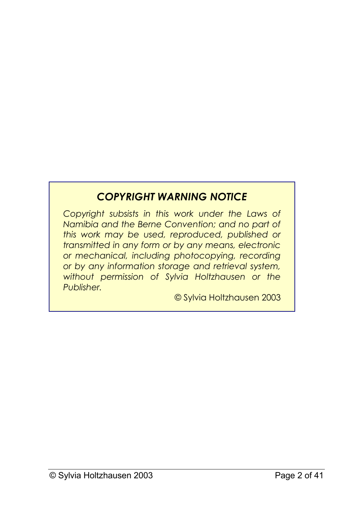## *COPYRIGHT WARNING NOTICE*

*Copyright subsists in this work under the Laws of Namibia and the Berne Convention; and no part of this work may be used, reproduced, published or transmitted in any form or by any means, electronic or mechanical, including photocopying, recording or by any information storage and retrieval system, without permission of Sylvia Holtzhausen or the Publisher.*

© Sylvia Holtzhausen 2003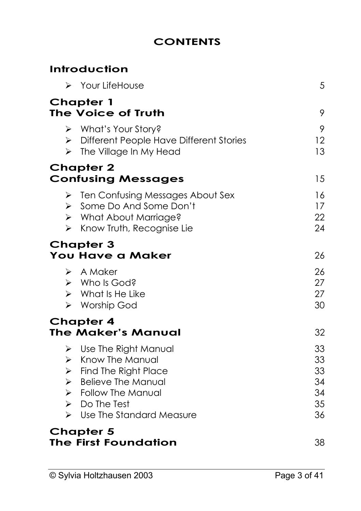## **CONTENTS**

## **Introduction**

| > Your LifeHouse                                                                                                                                                                                                                                              | 5                                      |
|---------------------------------------------------------------------------------------------------------------------------------------------------------------------------------------------------------------------------------------------------------------|----------------------------------------|
| Chapter 1<br>The Voice of Truth                                                                                                                                                                                                                               | 9                                      |
| > What's Your Story?<br>> Different People Have Different Stories<br>$\triangleright$ The Village In My Head                                                                                                                                                  | 9<br>12<br>13                          |
| <b>Chapter 2</b><br><b>Confusing Messages</b>                                                                                                                                                                                                                 | 15                                     |
| $\triangleright$ Ten Confusing Messages About Sex<br>> Some Do And Some Don't<br>> What About Marriage?<br>$\triangleright$ Know Truth, Recognise Lie                                                                                                         | 16<br>17<br>22<br>24                   |
| <b>Chapter 3</b><br>You Have a Maker                                                                                                                                                                                                                          | 26                                     |
| $\triangleright$ A Maker<br>$\triangleright$ Who Is God?<br>$\triangleright$ What Is He Like<br>> Worship God                                                                                                                                                 | 26<br>27<br>27<br>30                   |
| <b>Chapter 4</b><br>The Maker's Manual                                                                                                                                                                                                                        | 32                                     |
| $\triangleright$ Use The Right Manual<br>$\triangleright$ Know The Manual<br>$\triangleright$ Find The Right Place<br>$\triangleright$ Believe The Manual<br>> Follow The Manual<br>$\triangleright$ Do The Test<br>$\triangleright$ Use The Standard Measure | 33<br>33<br>33<br>34<br>34<br>35<br>36 |
| <b>Chapter 5</b><br>The First Foundation                                                                                                                                                                                                                      | 38                                     |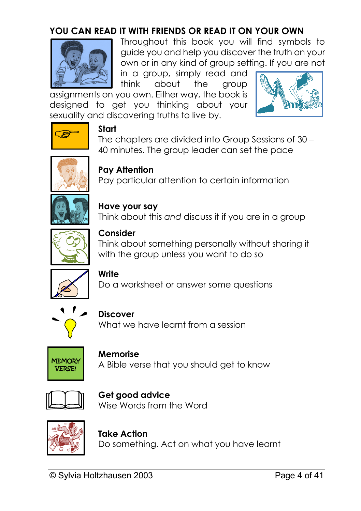## **YOU CAN READ IT WITH FRIENDS OR READ IT ON YOUR OWN**



Throughout this book you will find symbols to guide you and help you discover the truth on your own or in any kind of group setting. If you are not

in a group, simply read and think about the group

assignments on you own. Either way, the book is designed to get you thinking about your sexuality and discovering truths to live by.





#### **Start**

The chapters are divided into Group Sessions of 30 – 40 minutes. The group leader can set the pace



#### **Pay Attention**

Pay particular attention to certain information



#### **Have your say** Think about this *and* discuss it if you are in a group

**Consider**

Think about something personally without sharing it with the group unless you want to do so



**Write** 

Do a worksheet or answer some questions



**Discover**

What we have learnt from a session



**Memorise**  A Bible verse that you should get to know



**Get good advice** Wise Words from the Word



**Take Action** Do something. Act on what you have learnt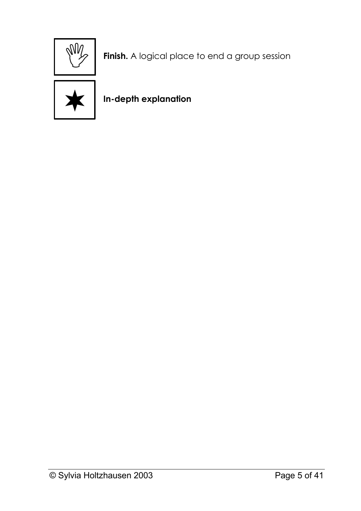

**Finish.** A logical place to end a group session



**In-depth explanation**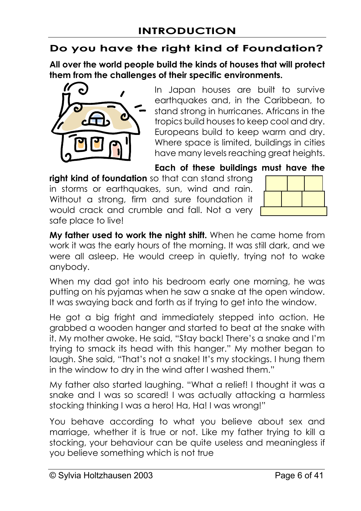### **Do you have the right kind of Foundation?**

**All over the world people build the kinds of houses that will protect them from the challenges of their specific environments.** 



In Japan houses are built to survive earthquakes and, in the Caribbean, to stand strong in hurricanes. Africans in the tropics build houses to keep cool and dry. Europeans build to keep warm and dry. Where space is limited, buildings in cities have many levels reaching great heights.

#### **Each of these buildings must have the**

**right kind of foundation** so that can stand strong in storms or earthquakes, sun, wind and rain. Without a strong, firm and sure foundation it would crack and crumble and fall. Not a very safe place to live!



**My father used to work the night shift.** When he came home from work it was the early hours of the morning. It was still dark, and we were all asleep. He would creep in quietly, trying not to wake anybody.

When my dad got into his bedroom early one morning, he was putting on his pyjamas when he saw a snake at the open window. It was swaying back and forth as if trying to get into the window.

He got a big fright and immediately stepped into action. He grabbed a wooden hanger and started to beat at the snake with it. My mother awoke. He said, "Stay back! There's a snake and I'm trying to smack its head with this hanger." My mother began to laugh. She said, "That's not a snake! It's my stockings. I hung them in the window to dry in the wind after I washed them."

My father also started laughing. "What a relief! I thought it was a snake and I was so scared! I was actually attacking a harmless stocking thinking I was a hero! Ha, Ha! I was wrong!"

You behave according to what you believe about sex and marriage, whether it is true or not. Like my father trying to kill a stocking, your behaviour can be quite useless and meaningless if you believe something which is not true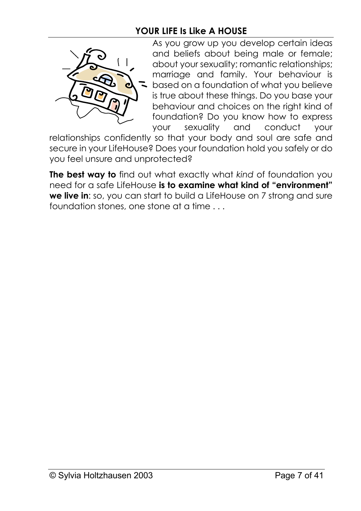## **YOUR LIFE Is Like A HOUSE**



As you grow up you develop certain ideas and beliefs about being male or female; about your sexuality; romantic relationships; marriage and family. Your behaviour is based on a foundation of what you believe is true about these things. Do you base your behaviour and choices on the right kind of foundation? Do you know how to express your sexuality and conduct your

relationships confidently so that your body and soul are safe and secure in your LifeHouse? Does your foundation hold you safely or do you feel unsure and unprotected?

**The best way to** find out what exactly what *kind* of foundation you need for a safe LifeHouse **is to examine what kind of "environment" we live in**: so, you can start to build a LifeHouse on 7 strong and sure foundation stones, one stone at a time . . .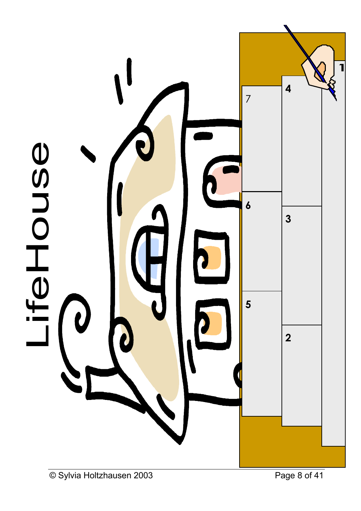